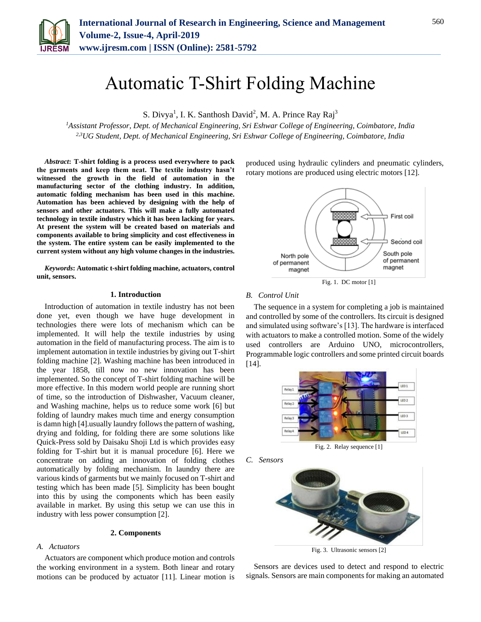

# Automatic T-Shirt Folding Machine

S. Divya<sup>1</sup>, I. K. Santhosh David<sup>2</sup>, M. A. Prince Ray Raj<sup>3</sup>

*<sup>1</sup>Assistant Professor, Dept. of Mechanical Engineering, Sri Eshwar College of Engineering, Coimbatore, India 2,3UG Student, Dept. of Mechanical Engineering, Sri Eshwar College of Engineering, Coimbatore, India*

*Abstract***: T-shirt folding is a process used everywhere to pack the garments and keep them neat. The textile industry hasn't witnessed the growth in the field of automation in the manufacturing sector of the clothing industry. In addition, automatic folding mechanism has been used in this machine. Automation has been achieved by designing with the help of sensors and other actuators. This will make a fully automated technology in textile industry which it has been lacking for years. At present the system will be created based on materials and components available to bring simplicity and cost effectiveness in the system. The entire system can be easily implemented to the current system without any high volume changes in the industries.**

*Keywords***: Automatic t-shirt folding machine, actuators, control unit, sensors.**

## **1. Introduction**

Introduction of automation in textile industry has not been done yet, even though we have huge development in technologies there were lots of mechanism which can be implemented. It will help the textile industries by using automation in the field of manufacturing process. The aim is to implement automation in textile industries by giving out T-shirt folding machine [2]. Washing machine has been introduced in the year 1858, till now no new innovation has been implemented. So the concept of T-shirt folding machine will be more effective. In this modern world people are running short of time, so the introduction of Dishwasher, Vacuum cleaner, and Washing machine, helps us to reduce some work [6] but folding of laundry makes much time and energy consumption is damn high [4].usually laundry follows the pattern of washing, drying and folding, for folding there are some solutions like Quick-Press sold by Daisaku Shoji Ltd is which provides easy folding for T-shirt but it is manual procedure [6]. Here we concentrate on adding an innovation of folding clothes automatically by folding mechanism. In laundry there are various kinds of garments but we mainly focused on T-shirt and testing which has been made [5]. Simplicity has been bought into this by using the components which has been easily available in market. By using this setup we can use this in industry with less power consumption [2].

## **2. Components**

## *A. Actuators*

Actuators are component which produce motion and controls the working environment in a system. Both linear and rotary motions can be produced by actuator [11]. Linear motion is produced using hydraulic cylinders and pneumatic cylinders, rotary motions are produced using electric motors [12].



#### *B. Control Unit*

The sequence in a system for completing a job is maintained and controlled by some of the controllers. Its circuit is designed and simulated using software's [13]. The hardware is interfaced with actuators to make a controlled motion. Some of the widely used controllers are Arduino UNO, microcontrollers, Programmable logic controllers and some printed circuit boards [14].



Fig. 2. Relay sequence [1]





Fig. 3. Ultrasonic sensors [2]

Sensors are devices used to detect and respond to electric signals. Sensors are main components for making an automated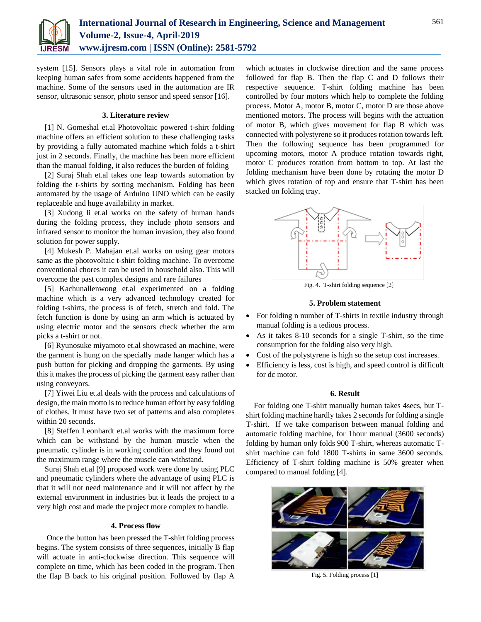

system [15]. Sensors plays a vital role in automation from keeping human safes from some accidents happened from the machine. Some of the sensors used in the automation are IR sensor, ultrasonic sensor, photo sensor and speed sensor [16].

## **3. Literature review**

[1] N. Gomeshal et.al Photovoltaic powered t-shirt folding machine offers an efficient solution to these challenging tasks by providing a fully automated machine which folds a t-shirt just in 2 seconds. Finally, the machine has been more efficient than the manual folding, it also reduces the burden of folding

[2] Suraj Shah et.al takes one leap towards automation by folding the t-shirts by sorting mechanism. Folding has been automated by the usage of Arduino UNO which can be easily replaceable and huge availability in market.

[3] Xudong li et.al works on the safety of human hands during the folding process, they include photo sensors and infrared sensor to monitor the human invasion, they also found solution for power supply.

[4] Mukesh P. Mahajan et.al works on using gear motors same as the photovoltaic t-shirt folding machine. To overcome conventional chores it can be used in household also. This will overcome the past complex designs and rare failures

[5] Kachunallenwong et.al experimented on a folding machine which is a very advanced technology created for folding t-shirts, the process is of fetch, stretch and fold. The fetch function is done by using an arm which is actuated by using electric motor and the sensors check whether the arm picks a t-shirt or not.

[6] Ryunosuke miyamoto et.al showcased an machine, were the garment is hung on the specially made hanger which has a push button for picking and dropping the garments. By using this it makes the process of picking the garment easy rather than using conveyors.

[7] Yiwei Liu et.al deals with the process and calculations of design, the main motto is to reduce human effort by easy folding of clothes. It must have two set of patterns and also completes within 20 seconds.

[8] Steffen Leonhardt et.al works with the maximum force which can be withstand by the human muscle when the pneumatic cylinder is in working condition and they found out the maximum range where the muscle can withstand.

Suraj Shah et.al [9] proposed work were done by using PLC and pneumatic cylinders where the advantage of using PLC is that it will not need maintenance and it will not affect by the external environment in industries but it leads the project to a very high cost and made the project more complex to handle.

#### **4. Process flow**

Once the button has been pressed the T-shirt folding process begins. The system consists of three sequences, initially B flap will actuate in anti-clockwise direction. This sequence will complete on time, which has been coded in the program. Then the flap B back to his original position. Followed by flap A

which actuates in clockwise direction and the same process followed for flap B. Then the flap C and D follows their respective sequence. T-shirt folding machine has been controlled by four motors which help to complete the folding process. Motor A, motor B, motor C, motor D are those above mentioned motors. The process will begins with the actuation of motor B, which gives movement for flap B which was connected with polystyrene so it produces rotation towards left. Then the following sequence has been programmed for upcoming motors, motor A produce rotation towards right, motor C produces rotation from bottom to top. At last the folding mechanism have been done by rotating the motor D which gives rotation of top and ensure that T-shirt has been stacked on folding tray.



Fig. 4. T-shirt folding sequence [2]

### **5. Problem statement**

- For folding n number of T-shirts in textile industry through manual folding is a tedious process.
- As it takes 8-10 seconds for a single T-shirt, so the time consumption for the folding also very high.
- Cost of the polystyrene is high so the setup cost increases.
- Efficiency is less, cost is high, and speed control is difficult for dc motor.

## **6. Result**

For folding one T-shirt manually human takes 4secs, but Tshirt folding machine hardly takes 2 seconds for folding a single T-shirt. If we take comparison between manual folding and automatic folding machine, for 1hour manual (3600 seconds) folding by human only folds 900 T-shirt, whereas automatic Tshirt machine can fold 1800 T-shirts in same 3600 seconds. Efficiency of T-shirt folding machine is 50% greater when compared to manual folding [4].



Fig. 5. Folding process [1]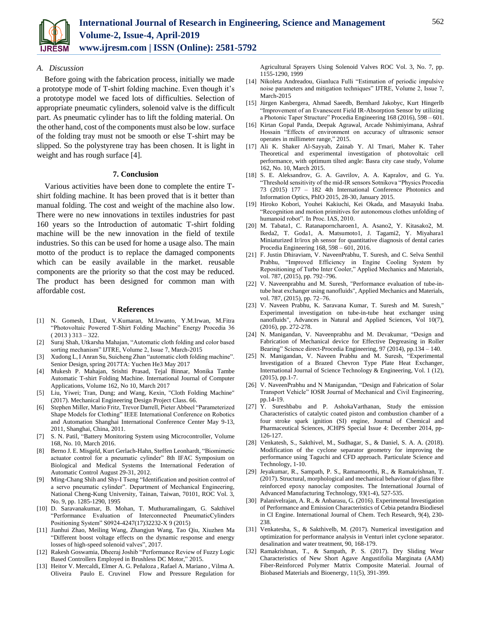

## *A. Discussion*

Before going with the fabrication process, initially we made a prototype mode of T-shirt folding machine. Even though it's a prototype model we faced lots of difficulties. Selection of appropriate pneumatic cylinders, solenoid valve is the difficult part. As pneumatic cylinder has to lift the folding material. On the other hand, cost of the components must also be low. surface of the folding tray must not be smooth or else T-shirt may be slipped. So the polystyrene tray has been chosen. It is light in weight and has rough surface [4].

## **7. Conclusion**

Various activities have been done to complete the entire Tshirt folding machine. It has been proved that is it better than manual folding. The cost and weight of the machine also low. There were no new innovations in textiles industries for past 160 years so the Introduction of automatic T-shirt folding machine will be the new innovation in the field of textile industries. So this can be used for home a usage also. The main motto of the product is to replace the damaged components which can be easily available in the market. reusable components are the priority so that the cost may be reduced. The product has been designed for common man with affordable cost.

#### **References**

- [1] N. Gomesh, I.Daut, V.Kumaran, M.Irwanto, Y.M.Irwan, M.Fitra "Photovoltaic Powered T-Shirt Folding Machine" Energy Procedia 36  $(2013)$  313 – 322.
- [2] Suraj Shah, Utkarsha Mahajan, "Automatic cloth folding and color based sorting mechanism" IJTRE, Volume 2, Issue 7, March-2015
- [3] Xudong L, I Anran Su, Suicheng Zhan "automatic cloth folding machine". Senior Design, spring 2017TA: Yuchen He3 May 2017
- [4] Mukesh P. Mahajan, Srishti Prasad, Tejal Binnar, Monika Tambe Automatic T-shirt Folding Machine. International Journal of Computer Applications, Volume 162, No 10, March 2017
- Liu, Yiwei; Tran, Dung; and Wang, Kexin, "Cloth Folding Machine" (2017). Mechanical Engineering Design Project Class. 66.
- [6] Stephen Miller, Mario Fritz, Trevor Darrell, Pieter Abbeel "Parameterized Shape Models for Clothing" IEEE International Conference on Robotics and Automation Shanghai International Conference Center May 9-13, 2011, Shanghai, China, 2011.
- [7] S. N. Patil, "Battery Monitoring System using Microcontroller, Volume 168, No. 10, March 2016.
- [8] Berno J. E. Misgeld, Kurt Gerlach-Hahn, Steffen Leonhardt, "Biomimetic actuator control for a pneumatic cylinder" 8th IFAC Symposium on Biological and Medical Systems the International Federation of Automatic Control August 29-31, 2012.
- [9] Ming-Chang Shih and Shy-I Tseng "Identification and position control of a servo pneumatic cylinder". Department of Mechanical Engineering, National Cheng-Kung University, Tainan, Taiwan, 70101, ROC Vol. 3, No. 9, pp. 1285-1290, 1995
- [10] D. Saravanakumar, B. Mohan, T. Muthuramalingam, G. Sakthivel "Performance Evaluation of Interconnected PneumaticCylinders Positioning System" S0924-4247(17)32232-X 9 (2015)
- [11] Jianhui Zhao, Meiling Wang, Zhangjun Wang, Tao Qiu, Xiuzhen Ma "Different boost voltage effects on the dynamic response and energy losses of high-speed solenoid valves", 2017.
- [12] Rakesh Goswamia, Dheeraj Joshib "Performance Review of Fuzzy Logic Based Controllers Employed in Brushless DC Motor," 2015.
- [13] Heitor V. Mercaldi, Elmer A. G. Peñaloza , Rafael A. Mariano , Vilma A. Oliveira Paulo E. Cruvinel Flow and Pressure Regulation for

Agricultural Sprayers Using Solenoid Valves ROC Vol. 3, No. 7, pp. 1155-1290, 1999

- [14] Nikoleta Andreadou, Gianluca Fulli "Estimation of periodic impulsive noise parameters and mitigation techniques" IJTRE, Volume 2, Issue 7, March-2015
- [15] Jürgen Kasbergera, Ahmad Saeedb, Bernhard Jakobyc, Kurt Hingerlb "Improvement of an Evanescent Field IR-Absorption Sensor by utilizing a Photonic Taper Structure" Procedia Engineering 168 (2016), 598 – 601.
- [16] Kirtan Gopal Panda, Deepak Agrawal, Arcade Nshimiyimana, Ashraf Hossain "Effects of environment on accuracy of ultrasonic sensor operates in millimeter range," 2015.
- [17] Ali K. Shaker Al-Sayyab, Zainab Y. Al Tmari, Maher K. Taher Theoretical and experimental investigation of photovoltaic cell performance, with optimum tilted angle: Basra city case study, Volume 162, No. 10, March 2015.
- [18] S. E. Aleksandrov, G. A. Gavrilov, A. A. Kapralov, and G. Yu. "Threshold sensitivity of the mid-IR sensors Sotnikova "Physics Procedia 73 (2015) 177 – 182 4th International Conference Photonics and Information Optics, PhIO 2015, 28-30, January 2015.
- [19] Hiroko Kobori, Youhei Kakiuchi, Kei Okada, and Masayuki Inaba. "Recognition and motion primitives for autonomous clothes unfolding of humanoid robot". In Proc. IAS, 2010.
- [20] M. Tabata1, C. Ratanaporncharoen1, A. Asano2, Y. Kitasako2, M. Ikeda2, T. Goda1, A. Matsumoto1, J. Tagami2, Y. Miyahara1 Miniaturized Ir/irox ph sensor for quantitative diagnosis of dental caries Procedia Engineering 168, 598 – 601, 2016.
- [21] F. Justin Dhiraviam, V. NaveenPrabhu, T. Suresh, and C. Selva Senthil Prabhu, "Improved Efficiency in Engine Cooling System by Repositioning of Turbo Inter Cooler," Applied Mechanics and Materials, vol. 787, (2015), pp. 792–796.
- [22] V. Naveenprabhu and M. Suresh, "Performance evaluation of tube-intube heat exchanger using nanofluids", Applied Mechanics and Materials, vol. 787, (2015), pp. 72–76.
- [23] V. Naveen Prabhu, K. Saravana Kumar, T. Suresh and M. Suresh," Experimental investigation on tube-in-tube heat exchanger using nanofluids", Advances in Natural and Applied Sciences, Vol 10(7), (2016), pp. 272-278.
- [24] N. Manigandan, V. Naveenprabhu and M. Devakumar, "Design and Fabrication of Mechanical device for Effective Degreasing in Roller Bearing" Science direct-Procedia Engineering, 97 (2014), pp.134 – 140.
- [25] N. Manigandan, V. Naveen Prabhu and M. Suresh, "Experimental Investigation of a Brazed Chevron Type Plate Heat Exchanger, International Journal of Science Technology & Engineering, Vol. 1 (12), (2015), pp.1-7.
- [26] V. NaveenPrabhu and N Manigandan, "Design and Fabrication of Solar Transport Vehicle" IOSR Journal of Mechanical and Civil Engineering, pp.14-19.
- [27] Y. Sureshbabu and P. AshokaVarthanan, Study the emission Characteristics of catalytic coated piston and combustion chamber of a four stroke spark ignition (SI) engine, Journal of Chemical and Pharmaceutical Sciences, JCHPS Special Issue 4: December 2014, pp-126-127.
- [28] Venkatesh, S., Sakthivel, M., Sudhagar, S., & Daniel, S. A. A. (2018). Modification of the cyclone separator geometry for improving the performance using Taguchi and CFD approach. Particulate Science and Technology, 1-10.
- [29] Jeyakumar, R., Sampath, P. S., Ramamoorthi, R., & Ramakrishnan, T. (2017). Structural, morphological and mechanical behaviour of glass fibre reinforced epoxy nanoclay composites. The International Journal of Advanced Manufacturing Technology, 93(1-4), 527-535.
- [30] Palanivelrajan, A. R., & Anbarasu, G. (2016). Experimental Investigation of Performance and Emission Characteristics of Cebia petandra Biodiesel in CI Engine. International Journal of Chem. Tech Research, 9(4), 230- 238.
- [31] Venkatesha, S., & Sakthivelb, M. (2017). Numerical investigation and optimization for performance analysis in Venturi inlet cyclone separator. desalination and water treatment, 90, 168-179.
- [32] Ramakrishnan, T., & Sampath, P. S. (2017). Dry Sliding Wear Characteristics of New Short Agave Angustifolia Marginata (AAM) Fiber-Reinforced Polymer Matrix Composite Material. Journal of Biobased Materials and Bioenergy, 11(5), 391-399.